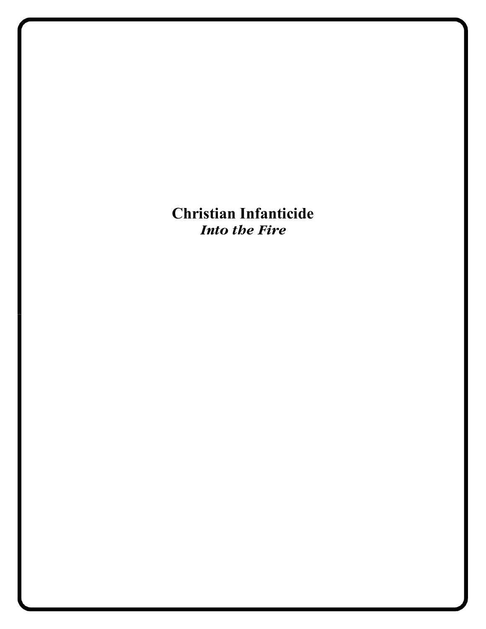**Christian Infanticide** *Into the Fire*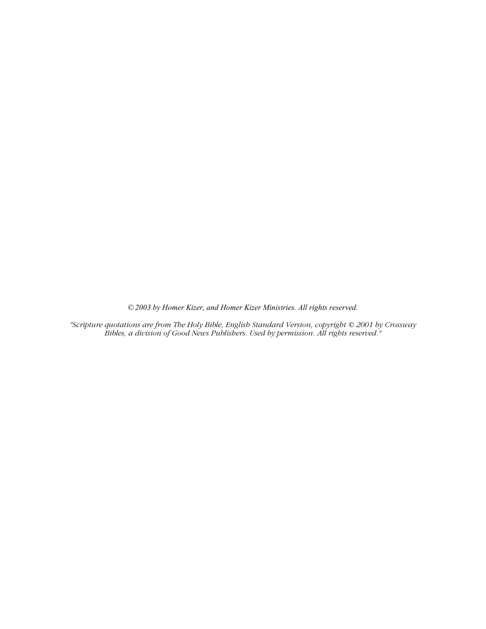*© 2003 by Homer Kizer, and Homer Kizer Ministries. All rights reserved.*

*"Scripture quotations are from The Holy Bible, English Standard Version, copyright © 2001 by Crossway Bibles, a division of Good News Publishers. Used by permission. All rights reserved."*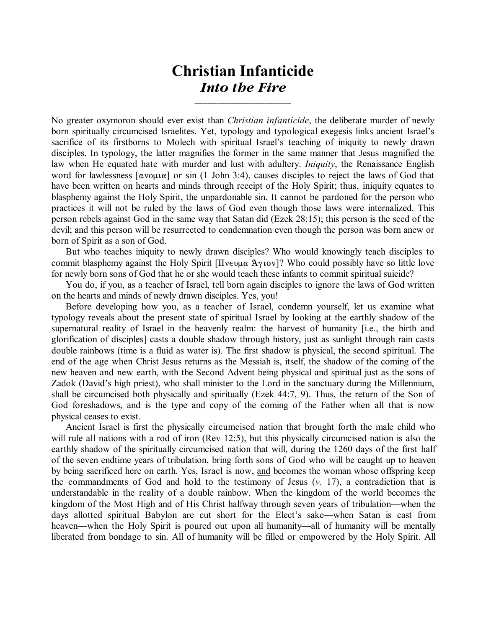## **Christian Infanticide** *Into the Fire*

\_\_\_\_\_\_\_\_\_\_\_\_\_\_\_\_\_\_\_\_\_\_

No greater oxymoron should ever exist than *Christian infanticide*, the deliberate murder of newly born spiritually circumcised Israelites. Yet, typology and typological exegesis links ancient Israel's sacrifice of its firstborns to Molech with spiritual Israel's teaching of iniquity to newly drawn disciples. In typology, the latter magnifies the former in the same manner that Jesus magnified the law when He equated hate with murder and lust with adultery. *Iniquity*, the Renaissance English word for lawlessness  $\lceil \alpha v \circ \mu \alpha \rceil$  or sin (1 John 3:4), causes disciples to reject the laws of God that have been written on hearts and minds through receipt of the Holy Spirit; thus, iniquity equates to blasphemy against the Holy Spirit, the unpardonable sin. It cannot be pardoned for the person who practices it will not be ruled by the laws of God even though those laws were internalized. This person rebels against God in the same way that Satan did (Ezek 28:15); this person is the seed of the devil; and this person will be resurrected to condemnation even though the person was born anew or born of Spirit as a son of God.

But who teaches iniquity to newly drawn disciples? Who would knowingly teach disciples to commit blasphemy against the Holy Spirit  $[\Pi v \in \mathcal{L}]$  who could possibly have so little love for newly born sons of God that he or she would teach these infants to commit spiritual suicide?

You do, if you, as a teacher of Israel, tell born again disciples to ignore the laws of God written on the hearts and minds of newly drawn disciples. Yes, you!

Before developing how you, as a teacher of Israel, condemn yourself, let us examine what typology reveals about the present state of spiritual Israel by looking at the earthly shadow of the supernatural reality of Israel in the heavenly realm: the harvest of humanity [i.e., the birth and glorification of disciples] casts a double shadow through history, just as sunlight through rain casts double rainbows (time is a fluid as water is). The first shadow is physical, the second spiritual. The end of the age when Christ Jesus returns as the Messiah is, itself, the shadow of the coming of the new heaven and new earth, with the Second Advent being physical and spiritual just as the sons of Zadok (David's high priest), who shall minister to the Lord in the sanctuary during the Millennium, shall be circumcised both physically and spiritually (Ezek 44:7, 9). Thus, the return of the Son of God foreshadows, and is the type and copy of the coming of the Father when all that is now physical ceases to exist.

Ancient Israel is first the physically circumcised nation that brought forth the male child who will rule all nations with a rod of iron (Rev 12:5), but this physically circumcised nation is also the earthly shadow of the spiritually circumcised nation that will, during the 1260 days of the first half of the seven endtime years of tribulation, bring forth sons of God who will be caught up to heaven by being sacrificed here on earth. Yes, Israel is now, and becomes the woman whose offspring keep the commandments of God and hold to the testimony of Jesus (*v.* 17), a contradiction that is understandable in the reality of a double rainbow. When the kingdom of the world becomes the kingdom of the Most High and of His Christ halfway through seven years of tribulation—when the days allotted spiritual Babylon are cut short for the Elect's sake—when Satan is cast from heaven—when the Holy Spirit is poured out upon all humanity—all of humanity will be mentally liberated from bondage to sin. All of humanity will be filled or empowered by the Holy Spirit. All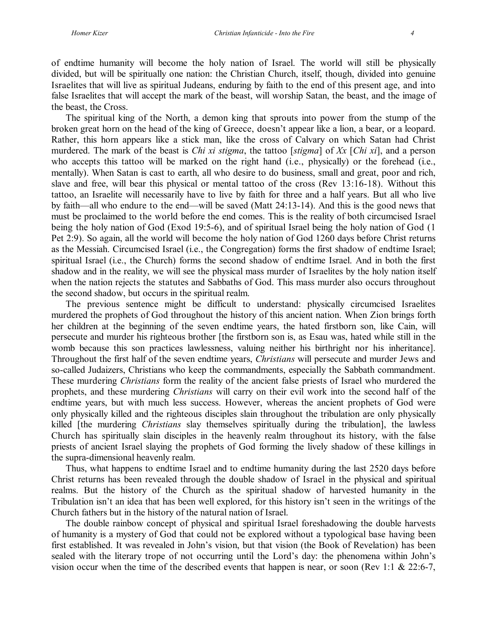of endtime humanity will become the holy nation of Israel. The world will still be physically divided, but will be spiritually one nation: the Christian Church, itself, though, divided into genuine Israelites that will live as spiritual Judeans, enduring by faith to the end of this present age, and into false Israelites that will accept the mark of the beast, will worship Satan, the beast, and the image of the beast, the Cross.

The spiritual king of the North, a demon king that sprouts into power from the stump of the broken great horn on the head of the king of Greece, doesn't appear like a lion, a bear, or a leopard. Rather, this horn appears like a stick man, like the cross of Calvary on which Satan had Christ murdered. The mark of the beast is *Chi xi stigma*, the tattoo [*stigma*] of *Xx* [*Chi xi*], and a person who accepts this tattoo will be marked on the right hand (i.e., physically) or the forehead (i.e., mentally). When Satan is cast to earth, all who desire to do business, small and great, poor and rich, slave and free, will bear this physical or mental tattoo of the cross (Rev 13:16-18). Without this tattoo, an Israelite will necessarily have to live by faith for three and a half years. But all who live by faith—all who endure to the end—will be saved (Matt 24:13-14). And this is the good news that must be proclaimed to the world before the end comes. This is the reality of both circumcised Israel being the holy nation of God (Exod 19:5-6), and of spiritual Israel being the holy nation of God (1 Pet 2:9). So again, all the world will become the holy nation of God 1260 days before Christ returns as the Messiah. Circumcised Israel (i.e., the Congregation) forms the first shadow of endtime Israel; spiritual Israel (i.e., the Church) forms the second shadow of endtime Israel. And in both the first shadow and in the reality, we will see the physical mass murder of Israelites by the holy nation itself when the nation rejects the statutes and Sabbaths of God. This mass murder also occurs throughout the second shadow, but occurs in the spiritual realm.

The previous sentence might be difficult to understand: physically circumcised Israelites murdered the prophets of God throughout the history of this ancient nation. When Zion brings forth her children at the beginning of the seven endtime years, the hated firstborn son, like Cain, will persecute and murder his righteous brother [the firstborn son is, as Esau was, hated while still in the womb because this son practices lawlessness, valuing neither his birthright nor his inheritance]. Throughout the first half of the seven endtime years, *Christians* will persecute and murder Jews and so-called Judaizers, Christians who keep the commandments, especially the Sabbath commandment. These murdering *Christians* form the reality of the ancient false priests of Israel who murdered the prophets, and these murdering *Christians* will carry on their evil work into the second half of the endtime years, but with much less success. However, whereas the ancient prophets of God were only physically killed and the righteous disciples slain throughout the tribulation are only physically killed [the murdering *Christians* slay themselves spiritually during the tribulation], the lawless Church has spiritually slain disciples in the heavenly realm throughout its history, with the false priests of ancient Israel slaying the prophets of God forming the lively shadow of these killings in the supra-dimensional heavenly realm.

Thus, what happens to endtime Israel and to endtime humanity during the last 2520 days before Christ returns has been revealed through the double shadow of Israel in the physical and spiritual realms. But the history of the Church as the spiritual shadow of harvested humanity in the Tribulation isn't an idea that has been well explored, for this history isn't seen in the writings of the Church fathers but in the history of the natural nation of Israel.

The double rainbow concept of physical and spiritual Israel foreshadowing the double harvests of humanity is a mystery of God that could not be explored without a typological base having been first established. It was revealed in John's vision, but that vision (the Book of Revelation) has been sealed with the literary trope of not occurring until the Lord's day: the phenomena within John's vision occur when the time of the described events that happen is near, or soon (Rev 1:1  $& 22:6-7$ ,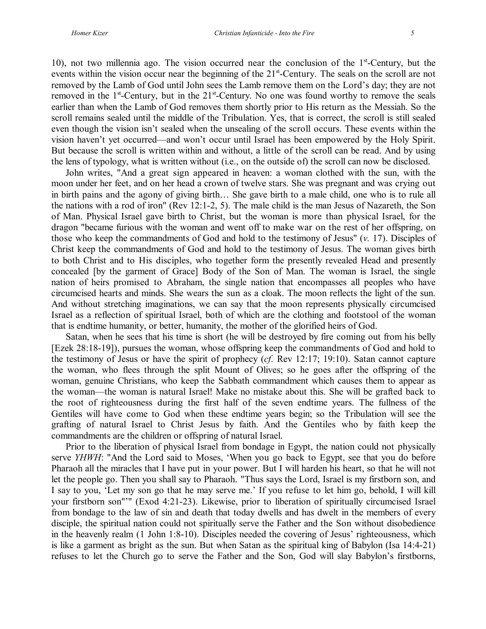10), not two millennia ago. The vision occurred near the conclusion of the  $1<sup>st</sup>$ -Century, but the events within the vision occur near the beginning of the 21<sup>st</sup>-Century. The seals on the scroll are not removed by the Lamb of God until John sees the Lamb remove them on the Lord's day; they are not removed in the  $1<sup>st</sup>$ -Century, but in the  $21<sup>st</sup>$ -Century. No one was found worthy to remove the seals earlier than when the Lamb of God removes them shortly prior to His return as the Messiah. So the scroll remains sealed until the middle of the Tribulation. Yes, that is correct, the scroll is still sealed even though the vision isn't sealed when the unsealing of the scroll occurs. These events within the vision haven't yet occurred—and won't occur until Israel has been empowered by the Holy Spirit. But because the scroll is written within and without, a little of the scroll can be read. And by using the lens of typology, what is written without (i.e., on the outside of) the scroll can now be disclosed.

John writes, "And a great sign appeared in heaven: a woman clothed with the sun, with the moon under her feet, and on her head a crown of twelve stars. She was pregnant and was crying out in birth pains and the agony of giving birth… She gave birth to a male child, one who is to rule all the nations with a rod of iron" (Rev 12:1-2, 5). The male child is the man Jesus of Nazareth, the Son of Man. Physical Israel gave birth to Christ, but the woman is more than physical Israel, for the dragon "became furious with the woman and went off to make war on the rest of her offspring, on those who keep the commandments of God and hold to the testimony of Jesus" (*v.* 17). Disciples of Christ keep the commandments of God and hold to the testimony of Jesus. The woman gives birth to both Christ and to His disciples, who together form the presently revealed Head and presently concealed [by the garment of Grace] Body of the Son of Man. The woman is Israel, the single nation of heirs promised to Abraham, the single nation that encompasses all peoples who have circumcised hearts and minds. She wears the sun as a cloak. The moon reflects the light of the sun. And without stretching imaginations, we can say that the moon represents physically circumcised Israel as a reflection of spiritual Israel, both of which are the clothing and footstool of the woman that is endtime humanity, or better, humanity, the mother of the glorified heirs of God.

Satan, when he sees that his time is short (he will be destroyed by fire coming out from his belly [Ezek 28:18-19]), pursues the woman, whose offspring keep the commandments of God and hold to the testimony of Jesus or have the spirit of prophecy (*cf.* Rev 12:17; 19:10). Satan cannot capture the woman, who flees through the split Mount of Olives; so he goes after the offspring of the woman, genuine Christians, who keep the Sabbath commandment which causes them to appear as the woman—the woman is natural Israel! Make no mistake about this. She will be grafted back to the root of righteousness during the first half of the seven endtime years. The fullness of the Gentiles will have come to God when these endtime years begin; so the Tribulation will see the grafting of natural Israel to Christ Jesus by faith. And the Gentiles who by faith keep the commandments are the children or offspring of natural Israel.

Prior to the liberation of physical Israel from bondage in Egypt, the nation could not physically serve *YHWH*: "And the Lord said to Moses, 'When you go back to Egypt, see that you do before Pharaoh all the miracles that I have put in your power. But I will harden his heart, so that he will not let the people go. Then you shall say to Pharaoh. "Thus says the Lord, Israel is my firstborn son, and I say to you, 'Let my son go that he may serve me.' If you refuse to let him go, behold, I will kill your firstborn son"'" (Exod 4:21-23). Likewise, prior to liberation of spiritually circumcised Israel from bondage to the law of sin and death that today dwells and has dwelt in the members of every disciple, the spiritual nation could not spiritually serve the Father and the Son without disobedience in the heavenly realm (1 John 1:8-10). Disciples needed the covering of Jesus' righteousness, which is like a garment as bright as the sun. But when Satan as the spiritual king of Babylon (Isa 14:4-21) refuses to let the Church go to serve the Father and the Son, God will slay Babylon's firstborns,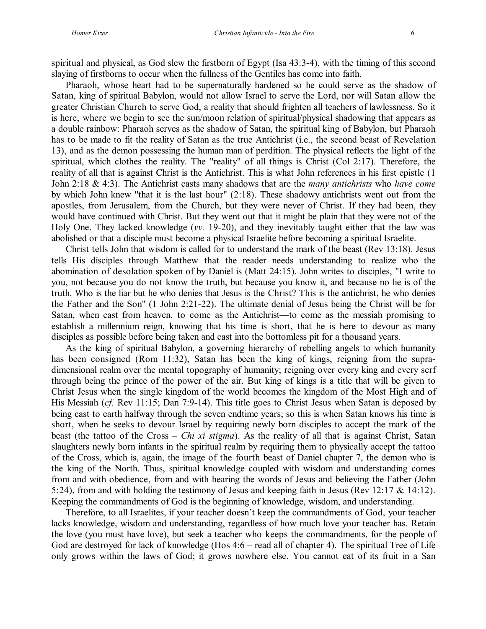spiritual and physical, as God slew the firstborn of Egypt (Isa 43:3-4), with the timing of this second slaying of firstborns to occur when the fullness of the Gentiles has come into faith.

Pharaoh, whose heart had to be supernaturally hardened so he could serve as the shadow of Satan, king of spiritual Babylon, would not allow Israel to serve the Lord, nor will Satan allow the greater Christian Church to serve God, a reality that should frighten all teachers of lawlessness. So it is here, where we begin to see the sun/moon relation of spiritual/physical shadowing that appears as a double rainbow: Pharaoh serves as the shadow of Satan, the spiritual king of Babylon, but Pharaoh has to be made to fit the reality of Satan as the true Antichrist (i.e., the second beast of Revelation 13), and as the demon possessing the human man of perdition. The physical reflects the light of the spiritual, which clothes the reality. The "reality" of all things is Christ (Col 2:17). Therefore, the reality of all that is against Christ is the Antichrist. This is what John references in his first epistle (1 John 2:18 & 4:3). The Antichrist casts many shadows that are the *many antichrists* who *have come* by which John knew "that it is the last hour" (2:18). These shadowy antichrists went out from the apostles, from Jerusalem, from the Church, but they were never of Christ. If they had been, they would have continued with Christ. But they went out that it might be plain that they were not of the Holy One. They lacked knowledge (*vv.* 19-20), and they inevitably taught either that the law was abolished or that a disciple must become a physical Israelite before becoming a spiritual Israelite.

Christ tells John that wisdom is called for to understand the mark of the beast (Rev 13:18). Jesus tells His disciples through Matthew that the reader needs understanding to realize who the abomination of desolation spoken of by Daniel is (Matt 24:15). John writes to disciples, "I write to you, not because you do not know the truth, but because you know it, and because no lie is of the truth. Who is the liar but he who denies that Jesus is the Christ? This is the antichrist, he who denies the Father and the Son" (1 John 2:21-22). The ultimate denial of Jesus being the Christ will be for Satan, when cast from heaven, to come as the Antichrist—to come as the messiah promising to establish a millennium reign, knowing that his time is short, that he is here to devour as many disciples as possible before being taken and cast into the bottomless pit for a thousand years.

As the king of spiritual Babylon, a governing hierarchy of rebelling angels to which humanity has been consigned (Rom 11:32), Satan has been the king of kings, reigning from the supradimensional realm over the mental topography of humanity; reigning over every king and every serf through being the prince of the power of the air. But king of kings is a title that will be given to Christ Jesus when the single kingdom of the world becomes the kingdom of the Most High and of His Messiah (*cf.* Rev 11:15; Dan 7:9-14). This title goes to Christ Jesus when Satan is deposed by being cast to earth halfway through the seven endtime years; so this is when Satan knows his time is short, when he seeks to devour Israel by requiring newly born disciples to accept the mark of the beast (the tattoo of the Cross – *Chi xi stigma*). As the reality of all that is against Christ, Satan slaughters newly born infants in the spiritual realm by requiring them to physically accept the tattoo of the Cross, which is, again, the image of the fourth beast of Daniel chapter 7, the demon who is the king of the North. Thus, spiritual knowledge coupled with wisdom and understanding comes from and with obedience, from and with hearing the words of Jesus and believing the Father (John 5:24), from and with holding the testimony of Jesus and keeping faith in Jesus (Rev 12:17 & 14:12). Keeping the commandments of God is the beginning of knowledge, wisdom, and understanding.

Therefore, to all Israelites, if your teacher doesn't keep the commandments of God, your teacher lacks knowledge, wisdom and understanding, regardless of how much love your teacher has. Retain the love (you must have love), but seek a teacher who keeps the commandments, for the people of God are destroyed for lack of knowledge (Hos 4:6 – read all of chapter 4). The spiritual Tree of Life only grows within the laws of God; it grows nowhere else. You cannot eat of its fruit in a San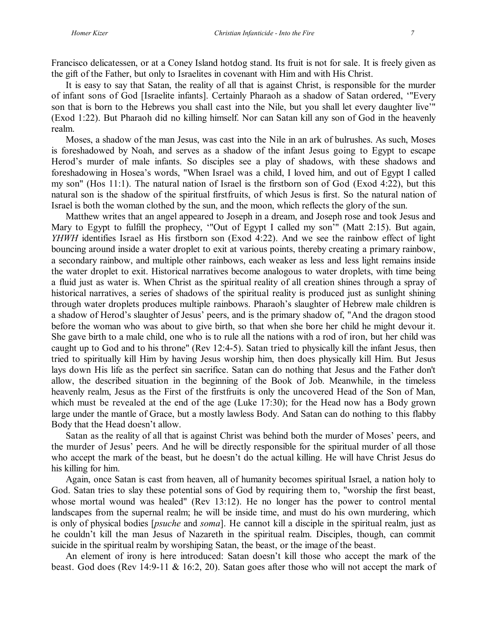Francisco delicatessen, or at a Coney Island hotdog stand. Its fruit is not for sale. It is freely given as the gift of the Father, but only to Israelites in covenant with Him and with His Christ.

It is easy to say that Satan, the reality of all that is against Christ, is responsible for the murder of infant sons of God [Israelite infants]. Certainly Pharaoh as a shadow of Satan ordered, '"Every son that is born to the Hebrews you shall cast into the Nile, but you shall let every daughter live'" (Exod 1:22). But Pharaoh did no killing himself. Nor can Satan kill any son of God in the heavenly realm.

Moses, a shadow of the man Jesus, was cast into the Nile in an ark of bulrushes. As such, Moses is foreshadowed by Noah, and serves as a shadow of the infant Jesus going to Egypt to escape Herod's murder of male infants. So disciples see a play of shadows, with these shadows and foreshadowing in Hosea's words, "When Israel was a child, I loved him, and out of Egypt I called my son" (Hos 11:1). The natural nation of Israel is the firstborn son of God (Exod 4:22), but this natural son is the shadow of the spiritual firstfruits, of which Jesus is first. So the natural nation of Israel is both the woman clothed by the sun, and the moon, which reflects the glory of the sun.

Matthew writes that an angel appeared to Joseph in a dream, and Joseph rose and took Jesus and Mary to Egypt to fulfill the prophecy, '"Out of Egypt I called my son'" (Matt 2:15). But again, *YHWH* identifies Israel as His firstborn son (Exod 4:22). And we see the rainbow effect of light bouncing around inside a water droplet to exit at various points, thereby creating a primary rainbow, a secondary rainbow, and multiple other rainbows, each weaker as less and less light remains inside the water droplet to exit. Historical narratives become analogous to water droplets, with time being a fluid just as water is. When Christ as the spiritual reality of all creation shines through a spray of historical narratives, a series of shadows of the spiritual reality is produced just as sunlight shining through water droplets produces multiple rainbows. Pharaoh's slaughter of Hebrew male children is a shadow of Herod's slaughter of Jesus' peers, and is the primary shadow of, "And the dragon stood before the woman who was about to give birth, so that when she bore her child he might devour it. She gave birth to a male child, one who is to rule all the nations with a rod of iron, but her child was caught up to God and to his throne" (Rev 12:4-5). Satan tried to physically kill the infant Jesus, then tried to spiritually kill Him by having Jesus worship him, then does physically kill Him. But Jesus lays down His life as the perfect sin sacrifice. Satan can do nothing that Jesus and the Father don't allow, the described situation in the beginning of the Book of Job. Meanwhile, in the timeless heavenly realm, Jesus as the First of the firstfruits is only the uncovered Head of the Son of Man, which must be revealed at the end of the age (Luke 17:30); for the Head now has a Body grown large under the mantle of Grace, but a mostly lawless Body. And Satan can do nothing to this flabby Body that the Head doesn't allow.

Satan as the reality of all that is against Christ was behind both the murder of Moses' peers, and the murder of Jesus' peers. And he will be directly responsible for the spiritual murder of all those who accept the mark of the beast, but he doesn't do the actual killing. He will have Christ Jesus do his killing for him.

Again, once Satan is cast from heaven, all of humanity becomes spiritual Israel, a nation holy to God. Satan tries to slay these potential sons of God by requiring them to, "worship the first beast, whose mortal wound was healed" (Rev 13:12). He no longer has the power to control mental landscapes from the supernal realm; he will be inside time, and must do his own murdering, which is only of physical bodies [*psuche* and *soma*]. He cannot kill a disciple in the spiritual realm, just as he couldn't kill the man Jesus of Nazareth in the spiritual realm. Disciples, though, can commit suicide in the spiritual realm by worshiping Satan, the beast, or the image of the beast.

An element of irony is here introduced: Satan doesn't kill those who accept the mark of the beast. God does (Rev 14:9-11 & 16:2, 20). Satan goes after those who will not accept the mark of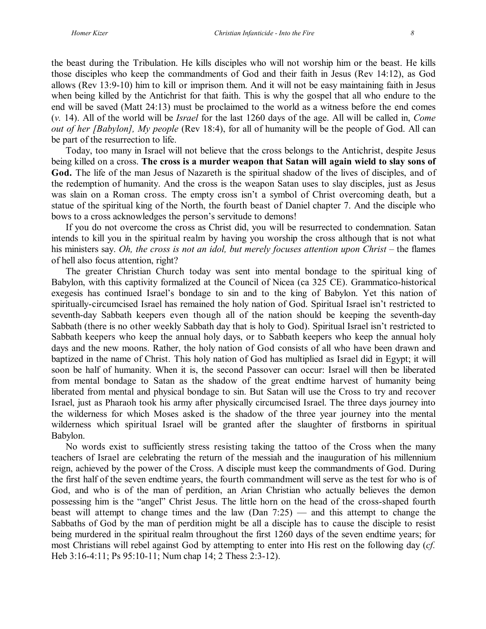the beast during the Tribulation. He kills disciples who will not worship him or the beast. He kills those disciples who keep the commandments of God and their faith in Jesus (Rev 14:12), as God allows (Rev 13:9-10) him to kill or imprison them. And it will not be easy maintaining faith in Jesus when being killed by the Antichrist for that faith. This is why the gospel that all who endure to the end will be saved (Matt 24:13) must be proclaimed to the world as a witness before the end comes (*v.* 14). All of the world will be *Israel* for the last 1260 days of the age. All will be called in, *Come out of her [Babylon], My people* (Rev 18:4), for all of humanity will be the people of God. All can be part of the resurrection to life.

Today, too many in Israel will not believe that the cross belongs to the Antichrist, despite Jesus being killed on a cross. **The cross is a murder weapon that Satan will again wield to slay sons of God.** The life of the man Jesus of Nazareth is the spiritual shadow of the lives of disciples, and of the redemption of humanity. And the cross is the weapon Satan uses to slay disciples, just as Jesus was slain on a Roman cross. The empty cross isn't a symbol of Christ overcoming death, but a statue of the spiritual king of the North, the fourth beast of Daniel chapter 7. And the disciple who bows to a cross acknowledges the person's servitude to demons!

If you do not overcome the cross as Christ did, you will be resurrected to condemnation. Satan intends to kill you in the spiritual realm by having you worship the cross although that is not what his ministers say. *Oh, the cross is not an idol, but merely focuses attention upon Christ* – the flames of hell also focus attention, right?

The greater Christian Church today was sent into mental bondage to the spiritual king of Babylon, with this captivity formalized at the Council of Nicea (ca 325 CE). Grammatico-historical exegesis has continued Israel's bondage to sin and to the king of Babylon. Yet this nation of spiritually-circumcised Israel has remained the holy nation of God. Spiritual Israel isn't restricted to seventh-day Sabbath keepers even though all of the nation should be keeping the seventh-day Sabbath (there is no other weekly Sabbath day that is holy to God). Spiritual Israel isn't restricted to Sabbath keepers who keep the annual holy days, or to Sabbath keepers who keep the annual holy days and the new moons. Rather, the holy nation of God consists of all who have been drawn and baptized in the name of Christ. This holy nation of God has multiplied as Israel did in Egypt; it will soon be half of humanity. When it is, the second Passover can occur: Israel will then be liberated from mental bondage to Satan as the shadow of the great endtime harvest of humanity being liberated from mental and physical bondage to sin. But Satan will use the Cross to try and recover Israel, just as Pharaoh took his army after physically circumcised Israel. The three days journey into the wilderness for which Moses asked is the shadow of the three year journey into the mental wilderness which spiritual Israel will be granted after the slaughter of firstborns in spiritual Babylon.

No words exist to sufficiently stress resisting taking the tattoo of the Cross when the many teachers of Israel are celebrating the return of the messiah and the inauguration of his millennium reign, achieved by the power of the Cross. A disciple must keep the commandments of God. During the first half of the seven endtime years, the fourth commandment will serve as the test for who is of God, and who is of the man of perdition, an Arian Christian who actually believes the demon possessing him is the "angel" Christ Jesus. The little horn on the head of the cross-shaped fourth beast will attempt to change times and the law (Dan 7:25) — and this attempt to change the Sabbaths of God by the man of perdition might be all a disciple has to cause the disciple to resist being murdered in the spiritual realm throughout the first 1260 days of the seven endtime years; for most Christians will rebel against God by attempting to enter into His rest on the following day (*cf.* Heb 3:16-4:11; Ps 95:10-11; Num chap 14; 2 Thess 2:3-12).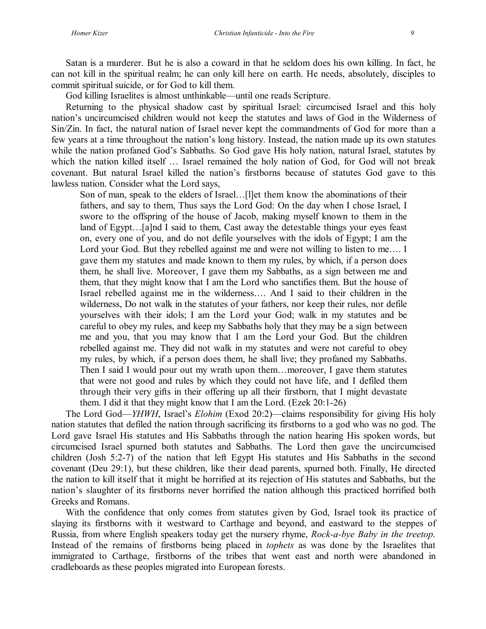Satan is a murderer. But he is also a coward in that he seldom does his own killing. In fact, he can not kill in the spiritual realm; he can only kill here on earth. He needs, absolutely, disciples to commit spiritual suicide, or for God to kill them.

God killing Israelites is almost unthinkable—until one reads Scripture.

Returning to the physical shadow cast by spiritual Israel: circumcised Israel and this holy nation's uncircumcised children would not keep the statutes and laws of God in the Wilderness of Sin/Zin. In fact, the natural nation of Israel never kept the commandments of God for more than a few years at a time throughout the nation's long history. Instead, the nation made up its own statutes while the nation profaned God's Sabbaths. So God gave His holy nation, natural Israel, statutes by which the nation killed itself … Israel remained the holy nation of God, for God will not break covenant. But natural Israel killed the nation's firstborns because of statutes God gave to this lawless nation. Consider what the Lord says,

Son of man, speak to the elders of Israel…[l]et them know the abominations of their fathers, and say to them, Thus says the Lord God: On the day when I chose Israel, I swore to the offspring of the house of Jacob, making myself known to them in the land of Egypt…[a]nd I said to them, Cast away the detestable things your eyes feast on, every one of you, and do not defile yourselves with the idols of Egypt; I am the Lord your God. But they rebelled against me and were not willing to listen to me.... I gave them my statutes and made known to them my rules, by which, if a person does them, he shall live. Moreover, I gave them my Sabbaths, as a sign between me and them, that they might know that I am the Lord who sanctifies them. But the house of Israel rebelled against me in the wilderness…. And I said to their children in the wilderness, Do not walk in the statutes of your fathers, nor keep their rules, nor defile yourselves with their idols; I am the Lord your God; walk in my statutes and be careful to obey my rules, and keep my Sabbaths holy that they may be a sign between me and you, that you may know that I am the Lord your God. But the children rebelled against me. They did not walk in my statutes and were not careful to obey my rules, by which, if a person does them, he shall live; they profaned my Sabbaths. Then I said I would pour out my wrath upon them…moreover, I gave them statutes that were not good and rules by which they could not have life, and I defiled them through their very gifts in their offering up all their firstborn, that I might devastate them. I did it that they might know that I am the Lord. (Ezek 20:1-26)

The Lord God—*YHWH*, Israel's *Elohim* (Exod 20:2)—claims responsibility for giving His holy nation statutes that defiled the nation through sacrificing its firstborns to a god who was no god. The Lord gave Israel His statutes and His Sabbaths through the nation hearing His spoken words, but circumcised Israel spurned both statutes and Sabbaths. The Lord then gave the uncircumcised children (Josh 5:2-7) of the nation that left Egypt His statutes and His Sabbaths in the second covenant (Deu 29:1), but these children, like their dead parents, spurned both. Finally, He directed the nation to kill itself that it might be horrified at its rejection of His statutes and Sabbaths, but the nation's slaughter of its firstborns never horrified the nation although this practiced horrified both Greeks and Romans.

With the confidence that only comes from statutes given by God, Israel took its practice of slaying its firstborns with it westward to Carthage and beyond, and eastward to the steppes of Russia, from where English speakers today get the nursery rhyme, *Rock-a-bye Baby in the treetop*. Instead of the remains of firstborns being placed in *tophets* as was done by the Israelites that immigrated to Carthage, firstborns of the tribes that went east and north were abandoned in cradleboards as these peoples migrated into European forests.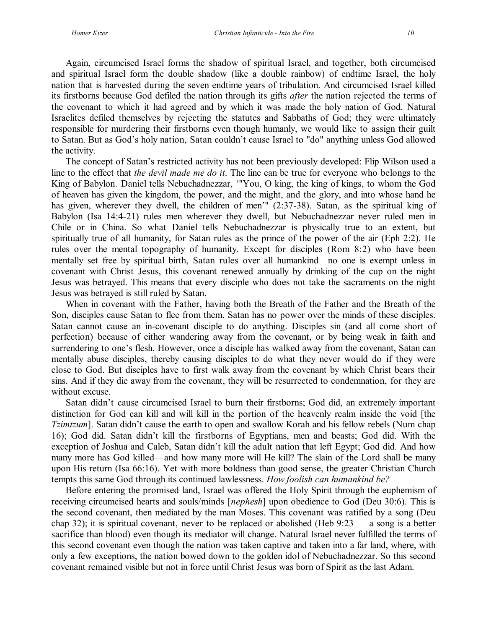Again, circumcised Israel forms the shadow of spiritual Israel, and together, both circumcised and spiritual Israel form the double shadow (like a double rainbow) of endtime Israel, the holy nation that is harvested during the seven endtime years of tribulation. And circumcised Israel killed its firstborns because God defiled the nation through its gifts *after* the nation rejected the terms of the covenant to which it had agreed and by which it was made the holy nation of God. Natural Israelites defiled themselves by rejecting the statutes and Sabbaths of God; they were ultimately responsible for murdering their firstborns even though humanly, we would like to assign their guilt to Satan. But as God's holy nation, Satan couldn't cause Israel to "do" anything unless God allowed the activity.

The concept of Satan's restricted activity has not been previously developed: Flip Wilson used a line to the effect that *the devil made me do it*. The line can be true for everyone who belongs to the King of Babylon. Daniel tells Nebuchadnezzar, '"You, O king, the king of kings, to whom the God of heaven has given the kingdom, the power, and the might, and the glory, and into whose hand he has given, wherever they dwell, the children of men'" (2:37-38). Satan, as the spiritual king of Babylon (Isa 14:4-21) rules men wherever they dwell, but Nebuchadnezzar never ruled men in Chile or in China. So what Daniel tells Nebuchadnezzar is physically true to an extent, but spiritually true of all humanity, for Satan rules as the prince of the power of the air (Eph 2:2). He rules over the mental topography of humanity. Except for disciples (Rom 8:2) who have been mentally set free by spiritual birth, Satan rules over all humankind—no one is exempt unless in covenant with Christ Jesus, this covenant renewed annually by drinking of the cup on the night Jesus was betrayed. This means that every disciple who does not take the sacraments on the night Jesus was betrayed is still ruled by Satan.

When in covenant with the Father, having both the Breath of the Father and the Breath of the Son, disciples cause Satan to flee from them. Satan has no power over the minds of these disciples. Satan cannot cause an in-covenant disciple to do anything. Disciples sin (and all come short of perfection) because of either wandering away from the covenant, or by being weak in faith and surrendering to one's flesh. However, once a disciple has walked away from the covenant, Satan can mentally abuse disciples, thereby causing disciples to do what they never would do if they were close to God. But disciples have to first walk away from the covenant by which Christ bears their sins. And if they die away from the covenant, they will be resurrected to condemnation, for they are without excuse.

Satan didn't cause circumcised Israel to burn their firstborns; God did, an extremely important distinction for God can kill and will kill in the portion of the heavenly realm inside the void [the *Tzimtzum*]. Satan didn't cause the earth to open and swallow Korah and his fellow rebels (Num chap 16); God did. Satan didn't kill the firstborns of Egyptians, men and beasts; God did. With the exception of Joshua and Caleb, Satan didn't kill the adult nation that left Egypt; God did. And how many more has God killed—and how many more will He kill? The slain of the Lord shall be many upon His return (Isa 66:16). Yet with more boldness than good sense, the greater Christian Church tempts this same God through its continued lawlessness. *How foolish can humankind be?*

Before entering the promised land, Israel was offered the Holy Spirit through the euphemism of receiving circumcised hearts and souls/minds [*nephesh*] upon obedience to God (Deu 30:6). This is the second covenant, then mediated by the man Moses. This covenant was ratified by a song (Deu chap 32); it is spiritual covenant, never to be replaced or abolished (Heb  $9:23$  — a song is a better sacrifice than blood) even though its mediator will change. Natural Israel never fulfilled the terms of this second covenant even though the nation was taken captive and taken into a far land, where, with only a few exceptions, the nation bowed down to the golden idol of Nebuchadnezzar. So this second covenant remained visible but not in force until Christ Jesus was born of Spirit as the last Adam.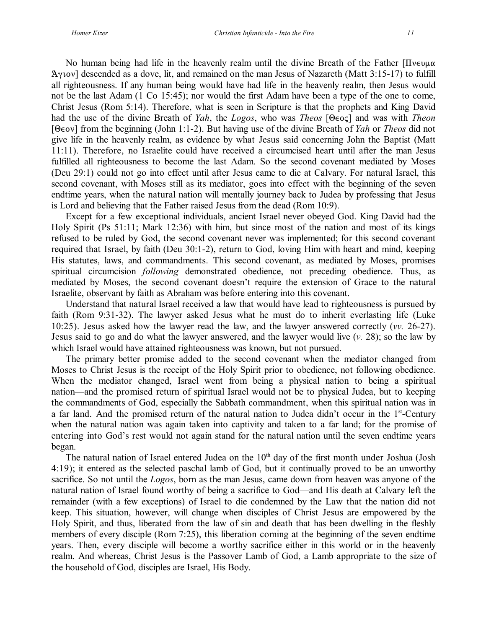No human being had life in the heavenly realm until the divine Breath of the Father  $\Pi v \in \mathcal{L}$ Aytov] descended as a dove, lit, and remained on the man Jesus of Nazareth (Matt  $3:15-17$ ) to fulfill all righteousness. If any human being would have had life in the heavenly realm, then Jesus would not be the last Adam (1 Co 15:45); nor would the first Adam have been a type of the one to come, Christ Jesus (Rom 5:14). Therefore, what is seen in Scripture is that the prophets and King David had the use of the divine Breath of *Yah*, the *Logos*, who was *Theos* [ $\Theta \in \text{o} \cdot \varsigma$ ] and was with *Theon* [1,@<] from the beginning (John 1:1-2). But having use of the divine Breath of *Yah* or *Theos* did not give life in the heavenly realm, as evidence by what Jesus said concerning John the Baptist (Matt 11:11). Therefore, no Israelite could have received a circumcised heart until after the man Jesus fulfilled all righteousness to become the last Adam. So the second covenant mediated by Moses (Deu 29:1) could not go into effect until after Jesus came to die at Calvary. For natural Israel, this second covenant, with Moses still as its mediator, goes into effect with the beginning of the seven endtime years, when the natural nation will mentally journey back to Judea by professing that Jesus is Lord and believing that the Father raised Jesus from the dead (Rom 10:9).

Except for a few exceptional individuals, ancient Israel never obeyed God. King David had the Holy Spirit (Ps 51:11; Mark 12:36) with him, but since most of the nation and most of its kings refused to be ruled by God, the second covenant never was implemented; for this second covenant required that Israel, by faith (Deu 30:1-2), return to God, loving Him with heart and mind, keeping His statutes, laws, and commandments. This second covenant, as mediated by Moses, promises spiritual circumcision *following* demonstrated obedience, not preceding obedience. Thus, as mediated by Moses, the second covenant doesn't require the extension of Grace to the natural Israelite, observant by faith as Abraham was before entering into this covenant.

Understand that natural Israel received a law that would have lead to righteousness is pursued by faith (Rom 9:31-32). The lawyer asked Jesus what he must do to inherit everlasting life (Luke 10:25). Jesus asked how the lawyer read the law, and the lawyer answered correctly (*vv.* 26-27). Jesus said to go and do what the lawyer answered, and the lawyer would live (*v.* 28); so the law by which Israel would have attained righteousness was known, but not pursued.

The primary better promise added to the second covenant when the mediator changed from Moses to Christ Jesus is the receipt of the Holy Spirit prior to obedience, not following obedience. When the mediator changed, Israel went from being a physical nation to being a spiritual nation—and the promised return of spiritual Israel would not be to physical Judea, but to keeping the commandments of God, especially the Sabbath commandment, when this spiritual nation was in a far land. And the promised return of the natural nation to Judea didn't occur in the 1<sup>st</sup>-Century when the natural nation was again taken into captivity and taken to a far land; for the promise of entering into God's rest would not again stand for the natural nation until the seven endtime years began.

The natural nation of Israel entered Judea on the 10<sup>th</sup> day of the first month under Joshua (Josh 4:19); it entered as the selected paschal lamb of God, but it continually proved to be an unworthy sacrifice. So not until the *Logos*, born as the man Jesus, came down from heaven was anyone of the natural nation of Israel found worthy of being a sacrifice to God—and His death at Calvary left the remainder (with a few exceptions) of Israel to die condemned by the Law that the nation did not keep. This situation, however, will change when disciples of Christ Jesus are empowered by the Holy Spirit, and thus, liberated from the law of sin and death that has been dwelling in the fleshly members of every disciple (Rom 7:25), this liberation coming at the beginning of the seven endtime years. Then, every disciple will become a worthy sacrifice either in this world or in the heavenly realm. And whereas, Christ Jesus is the Passover Lamb of God, a Lamb appropriate to the size of the household of God, disciples are Israel, His Body.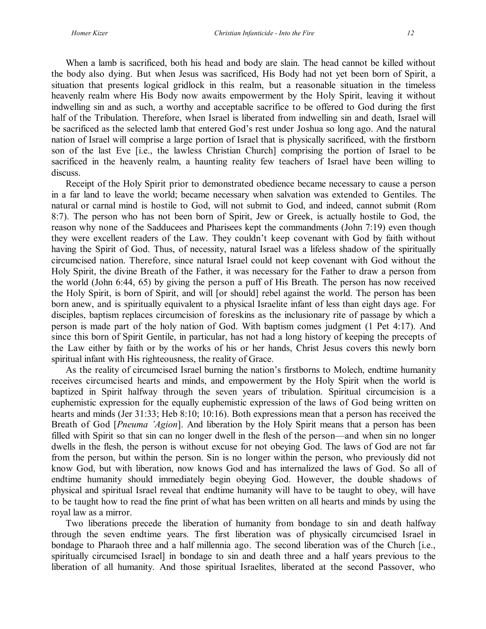When a lamb is sacrificed, both his head and body are slain. The head cannot be killed without the body also dying. But when Jesus was sacrificed, His Body had not yet been born of Spirit, a situation that presents logical gridlock in this realm, but a reasonable situation in the timeless heavenly realm where His Body now awaits empowerment by the Holy Spirit, leaving it without indwelling sin and as such, a worthy and acceptable sacrifice to be offered to God during the first half of the Tribulation. Therefore, when Israel is liberated from indwelling sin and death, Israel will be sacrificed as the selected lamb that entered God's rest under Joshua so long ago. And the natural nation of Israel will comprise a large portion of Israel that is physically sacrificed, with the firstborn son of the last Eve [i.e., the lawless Christian Church] comprising the portion of Israel to be sacrificed in the heavenly realm, a haunting reality few teachers of Israel have been willing to discuss.

Receipt of the Holy Spirit prior to demonstrated obedience became necessary to cause a person in a far land to leave the world; became necessary when salvation was extended to Gentiles. The natural or carnal mind is hostile to God, will not submit to God, and indeed, cannot submit (Rom 8:7). The person who has not been born of Spirit, Jew or Greek, is actually hostile to God, the reason why none of the Sadducees and Pharisees kept the commandments (John 7:19) even though they were excellent readers of the Law. They couldn't keep covenant with God by faith without having the Spirit of God. Thus, of necessity, natural Israel was a lifeless shadow of the spiritually circumcised nation. Therefore, since natural Israel could not keep covenant with God without the Holy Spirit, the divine Breath of the Father, it was necessary for the Father to draw a person from the world (John 6:44, 65) by giving the person a puff of His Breath. The person has now received the Holy Spirit, is born of Spirit, and will [or should] rebel against the world. The person has been born anew, and is spiritually equivalent to a physical Israelite infant of less than eight days age. For disciples, baptism replaces circumcision of foreskins as the inclusionary rite of passage by which a person is made part of the holy nation of God. With baptism comes judgment (1 Pet 4:17). And since this born of Spirit Gentile, in particular, has not had a long history of keeping the precepts of the Law either by faith or by the works of his or her hands, Christ Jesus covers this newly born spiritual infant with His righteousness, the reality of Grace.

As the reality of circumcised Israel burning the nation's firstborns to Molech, endtime humanity receives circumcised hearts and minds, and empowerment by the Holy Spirit when the world is baptized in Spirit halfway through the seven years of tribulation. Spiritual circumcision is a euphemistic expression for the equally euphemistic expression of the laws of God being written on hearts and minds (Jer 31:33; Heb 8:10; 10:16). Both expressions mean that a person has received the Breath of God [*Pneuma 'Agion*]. And liberation by the Holy Spirit means that a person has been filled with Spirit so that sin can no longer dwell in the flesh of the person—and when sin no longer dwells in the flesh, the person is without excuse for not obeying God. The laws of God are not far from the person, but within the person. Sin is no longer within the person, who previously did not know God, but with liberation, now knows God and has internalized the laws of God. So all of endtime humanity should immediately begin obeying God. However, the double shadows of physical and spiritual Israel reveal that endtime humanity will have to be taught to obey, will have to be taught how to read the fine print of what has been written on all hearts and minds by using the royal law as a mirror.

Two liberations precede the liberation of humanity from bondage to sin and death halfway through the seven endtime years. The first liberation was of physically circumcised Israel in bondage to Pharaoh three and a half millennia ago. The second liberation was of the Church [i.e., spiritually circumcised Israel] in bondage to sin and death three and a half years previous to the liberation of all humanity. And those spiritual Israelites, liberated at the second Passover, who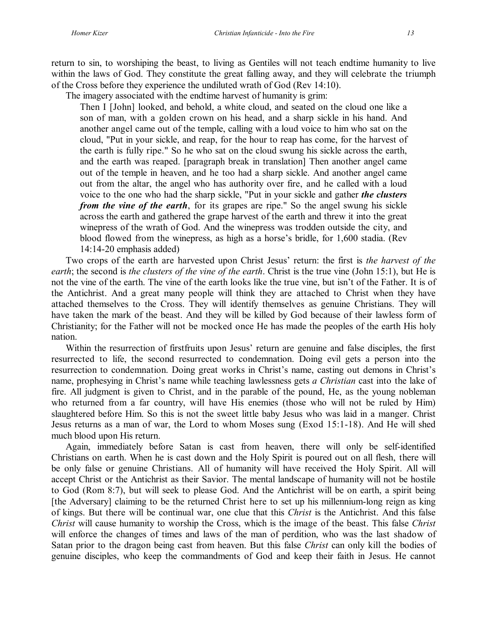return to sin, to worshiping the beast, to living as Gentiles will not teach endtime humanity to live within the laws of God. They constitute the great falling away, and they will celebrate the triumph of the Cross before they experience the undiluted wrath of God (Rev 14:10).

The imagery associated with the endtime harvest of humanity is grim:

Then I [John] looked, and behold, a white cloud, and seated on the cloud one like a son of man, with a golden crown on his head, and a sharp sickle in his hand. And another angel came out of the temple, calling with a loud voice to him who sat on the cloud, "Put in your sickle, and reap, for the hour to reap has come, for the harvest of the earth is fully ripe." So he who sat on the cloud swung his sickle across the earth, and the earth was reaped. [paragraph break in translation] Then another angel came out of the temple in heaven, and he too had a sharp sickle. And another angel came out from the altar, the angel who has authority over fire, and he called with a loud voice to the one who had the sharp sickle, "Put in your sickle and gather *the clusters from the vine of the earth*, for its grapes are ripe." So the angel swung his sickle across the earth and gathered the grape harvest of the earth and threw it into the great winepress of the wrath of God. And the winepress was trodden outside the city, and blood flowed from the winepress, as high as a horse's bridle, for 1,600 stadia. (Rev 14:14-20 emphasis added)

Two crops of the earth are harvested upon Christ Jesus' return: the first is *the harvest of the earth*; the second is *the clusters of the vine of the earth*. Christ is the true vine (John 15:1), but He is not the vine of the earth. The vine of the earth looks like the true vine, but isn't of the Father. It is of the Antichrist. And a great many people will think they are attached to Christ when they have attached themselves to the Cross. They will identify themselves as genuine Christians. They will have taken the mark of the beast. And they will be killed by God because of their lawless form of Christianity; for the Father will not be mocked once He has made the peoples of the earth His holy nation.

Within the resurrection of firstfruits upon Jesus' return are genuine and false disciples, the first resurrected to life, the second resurrected to condemnation. Doing evil gets a person into the resurrection to condemnation. Doing great works in Christ's name, casting out demons in Christ's name, prophesying in Christ's name while teaching lawlessness gets *a Christian* cast into the lake of fire. All judgment is given to Christ, and in the parable of the pound, He, as the young nobleman who returned from a far country, will have His enemies (those who will not be ruled by Him) slaughtered before Him. So this is not the sweet little baby Jesus who was laid in a manger. Christ Jesus returns as a man of war, the Lord to whom Moses sung (Exod 15:1-18). And He will shed much blood upon His return.

Again, immediately before Satan is cast from heaven, there will only be self-identified Christians on earth. When he is cast down and the Holy Spirit is poured out on all flesh, there will be only false or genuine Christians. All of humanity will have received the Holy Spirit. All will accept Christ or the Antichrist as their Savior. The mental landscape of humanity will not be hostile to God (Rom 8:7), but will seek to please God. And the Antichrist will be on earth, a spirit being [the Adversary] claiming to be the returned Christ here to set up his millennium-long reign as king of kings. But there will be continual war, one clue that this *Christ* is the Antichrist. And this false *Christ* will cause humanity to worship the Cross, which is the image of the beast. This false *Christ* will enforce the changes of times and laws of the man of perdition, who was the last shadow of Satan prior to the dragon being cast from heaven. But this false *Christ* can only kill the bodies of genuine disciples, who keep the commandments of God and keep their faith in Jesus. He cannot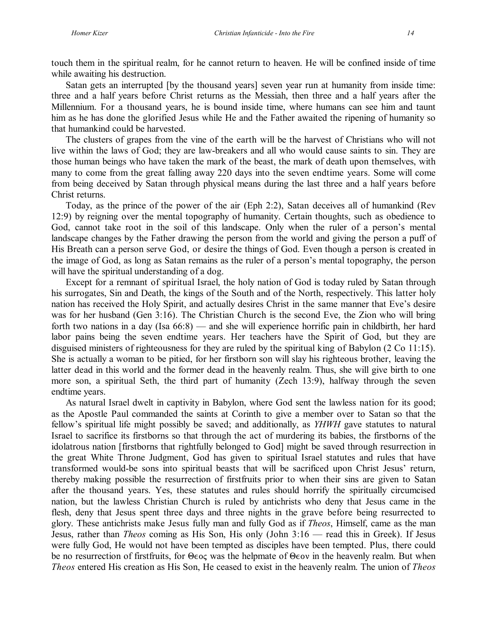touch them in the spiritual realm, for he cannot return to heaven. He will be confined inside of time while awaiting his destruction.

Satan gets an interrupted [by the thousand years] seven year run at humanity from inside time: three and a half years before Christ returns as the Messiah, then three and a half years after the Millennium. For a thousand years, he is bound inside time, where humans can see him and taunt him as he has done the glorified Jesus while He and the Father awaited the ripening of humanity so that humankind could be harvested.

The clusters of grapes from the vine of the earth will be the harvest of Christians who will not live within the laws of God; they are law-breakers and all who would cause saints to sin. They are those human beings who have taken the mark of the beast, the mark of death upon themselves, with many to come from the great falling away 220 days into the seven endtime years. Some will come from being deceived by Satan through physical means during the last three and a half years before Christ returns.

Today, as the prince of the power of the air (Eph 2:2), Satan deceives all of humankind (Rev 12:9) by reigning over the mental topography of humanity. Certain thoughts, such as obedience to God, cannot take root in the soil of this landscape. Only when the ruler of a person's mental landscape changes by the Father drawing the person from the world and giving the person a puff of His Breath can a person serve God, or desire the things of God. Even though a person is created in the image of God, as long as Satan remains as the ruler of a person's mental topography, the person will have the spiritual understanding of a dog.

Except for a remnant of spiritual Israel, the holy nation of God is today ruled by Satan through his surrogates, Sin and Death, the kings of the South and of the North, respectively. This latter holy nation has received the Holy Spirit, and actually desires Christ in the same manner that Eve's desire was for her husband (Gen 3:16). The Christian Church is the second Eve, the Zion who will bring forth two nations in a day (Isa 66:8) — and she will experience horrific pain in childbirth, her hard labor pains being the seven endtime years. Her teachers have the Spirit of God, but they are disguised ministers of righteousness for they are ruled by the spiritual king of Babylon (2 Co 11:15). She is actually a woman to be pitied, for her firstborn son will slay his righteous brother, leaving the latter dead in this world and the former dead in the heavenly realm. Thus, she will give birth to one more son, a spiritual Seth, the third part of humanity (Zech 13:9), halfway through the seven endtime years.

As natural Israel dwelt in captivity in Babylon, where God sent the lawless nation for its good; as the Apostle Paul commanded the saints at Corinth to give a member over to Satan so that the fellow's spiritual life might possibly be saved; and additionally, as *YHWH* gave statutes to natural Israel to sacrifice its firstborns so that through the act of murdering its babies, the firstborns of the idolatrous nation [firstborns that rightfully belonged to God] might be saved through resurrection in the great White Throne Judgment, God has given to spiritual Israel statutes and rules that have transformed would-be sons into spiritual beasts that will be sacrificed upon Christ Jesus' return, thereby making possible the resurrection of firstfruits prior to when their sins are given to Satan after the thousand years. Yes, these statutes and rules should horrify the spiritually circumcised nation, but the lawless Christian Church is ruled by antichrists who deny that Jesus came in the flesh, deny that Jesus spent three days and three nights in the grave before being resurrected to glory. These antichrists make Jesus fully man and fully God as if *Theos*, Himself, came as the man Jesus, rather than *Theos* coming as His Son, His only (John 3:16 — read this in Greek). If Jesus were fully God, He would not have been tempted as disciples have been tempted. Plus, there could be no resurrection of first fruits, for  $\Theta$ eoc was the helpmate of  $\Theta$ eov in the heavenly realm. But when *Theos* entered His creation as His Son, He ceased to exist in the heavenly realm. The union of *Theos*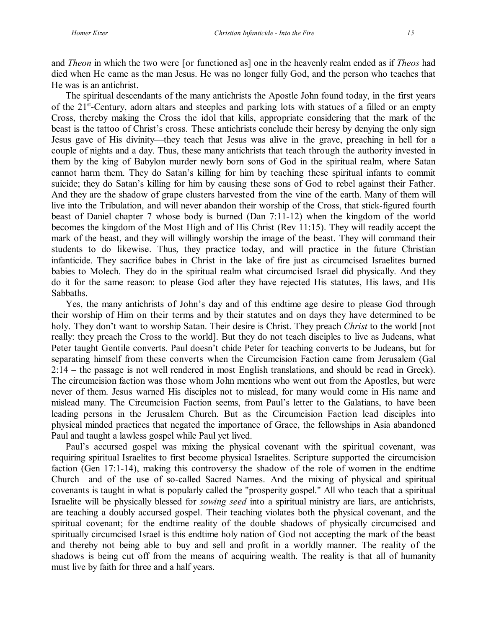and *Theon* in which the two were [or functioned as] one in the heavenly realm ended as if *Theos* had died when He came as the man Jesus. He was no longer fully God, and the person who teaches that He was is an antichrist.

The spiritual descendants of the many antichrists the Apostle John found today, in the first years of the 21<sup>st</sup>-Century, adorn altars and steeples and parking lots with statues of a filled or an empty Cross, thereby making the Cross the idol that kills, appropriate considering that the mark of the beast is the tattoo of Christ's cross. These antichrists conclude their heresy by denying the only sign Jesus gave of His divinity—they teach that Jesus was alive in the grave, preaching in hell for a couple of nights and a day. Thus, these many antichrists that teach through the authority invested in them by the king of Babylon murder newly born sons of God in the spiritual realm, where Satan cannot harm them. They do Satan's killing for him by teaching these spiritual infants to commit suicide; they do Satan's killing for him by causing these sons of God to rebel against their Father. And they are the shadow of grape clusters harvested from the vine of the earth. Many of them will live into the Tribulation, and will never abandon their worship of the Cross, that stick-figured fourth beast of Daniel chapter 7 whose body is burned (Dan 7:11-12) when the kingdom of the world becomes the kingdom of the Most High and of His Christ (Rev 11:15). They will readily accept the mark of the beast, and they will willingly worship the image of the beast. They will command their students to do likewise. Thus, they practice today, and will practice in the future Christian infanticide. They sacrifice babes in Christ in the lake of fire just as circumcised Israelites burned babies to Molech. They do in the spiritual realm what circumcised Israel did physically. And they do it for the same reason: to please God after they have rejected His statutes, His laws, and His Sabbaths.

Yes, the many antichrists of John's day and of this endtime age desire to please God through their worship of Him on their terms and by their statutes and on days they have determined to be holy. They don't want to worship Satan. Their desire is Christ. They preach *Christ* to the world [not really: they preach the Cross to the world]. But they do not teach disciples to live as Judeans, what Peter taught Gentile converts. Paul doesn't chide Peter for teaching converts to be Judeans, but for separating himself from these converts when the Circumcision Faction came from Jerusalem (Gal 2:14 – the passage is not well rendered in most English translations, and should be read in Greek). The circumcision faction was those whom John mentions who went out from the Apostles, but were never of them. Jesus warned His disciples not to mislead, for many would come in His name and mislead many. The Circumcision Faction seems, from Paul's letter to the Galatians, to have been leading persons in the Jerusalem Church. But as the Circumcision Faction lead disciples into physical minded practices that negated the importance of Grace, the fellowships in Asia abandoned Paul and taught a lawless gospel while Paul yet lived.

Paul's accursed gospel was mixing the physical covenant with the spiritual covenant, was requiring spiritual Israelites to first become physical Israelites. Scripture supported the circumcision faction (Gen 17:1-14), making this controversy the shadow of the role of women in the endtime Church—and of the use of so-called Sacred Names. And the mixing of physical and spiritual covenants is taught in what is popularly called the "prosperity gospel." All who teach that a spiritual Israelite will be physically blessed for *sowing seed* into a spiritual ministry are liars, are antichrists, are teaching a doubly accursed gospel. Their teaching violates both the physical covenant, and the spiritual covenant; for the endtime reality of the double shadows of physically circumcised and spiritually circumcised Israel is this endtime holy nation of God not accepting the mark of the beast and thereby not being able to buy and sell and profit in a worldly manner. The reality of the shadows is being cut off from the means of acquiring wealth. The reality is that all of humanity must live by faith for three and a half years.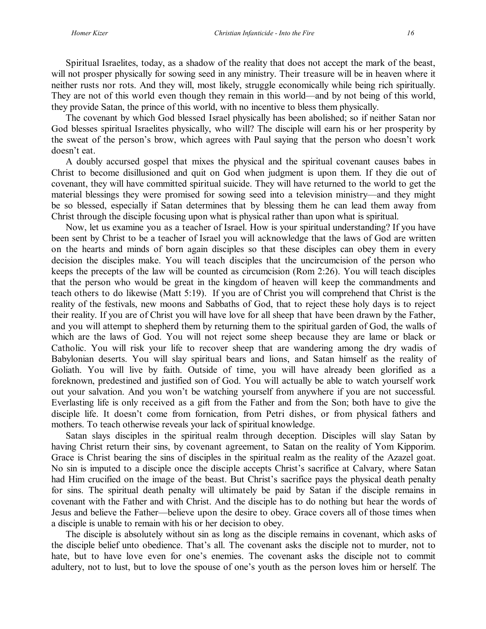Spiritual Israelites, today, as a shadow of the reality that does not accept the mark of the beast, will not prosper physically for sowing seed in any ministry. Their treasure will be in heaven where it neither rusts nor rots. And they will, most likely, struggle economically while being rich spiritually. They are not of this world even though they remain in this world—and by not being of this world, they provide Satan, the prince of this world, with no incentive to bless them physically.

The covenant by which God blessed Israel physically has been abolished; so if neither Satan nor God blesses spiritual Israelites physically, who will? The disciple will earn his or her prosperity by the sweat of the person's brow, which agrees with Paul saying that the person who doesn't work doesn't eat.

A doubly accursed gospel that mixes the physical and the spiritual covenant causes babes in Christ to become disillusioned and quit on God when judgment is upon them. If they die out of covenant, they will have committed spiritual suicide. They will have returned to the world to get the material blessings they were promised for sowing seed into a television ministry—and they might be so blessed, especially if Satan determines that by blessing them he can lead them away from Christ through the disciple focusing upon what is physical rather than upon what is spiritual.

Now, let us examine you as a teacher of Israel. How is your spiritual understanding? If you have been sent by Christ to be a teacher of Israel you will acknowledge that the laws of God are written on the hearts and minds of born again disciples so that these disciples can obey them in every decision the disciples make. You will teach disciples that the uncircumcision of the person who keeps the precepts of the law will be counted as circumcision (Rom 2:26). You will teach disciples that the person who would be great in the kingdom of heaven will keep the commandments and teach others to do likewise (Matt 5:19). If you are of Christ you will comprehend that Christ is the reality of the festivals, new moons and Sabbaths of God, that to reject these holy days is to reject their reality. If you are of Christ you will have love for all sheep that have been drawn by the Father, and you will attempt to shepherd them by returning them to the spiritual garden of God, the walls of which are the laws of God. You will not reject some sheep because they are lame or black or Catholic. You will risk your life to recover sheep that are wandering among the dry wadis of Babylonian deserts. You will slay spiritual bears and lions, and Satan himself as the reality of Goliath. You will live by faith. Outside of time, you will have already been glorified as a foreknown, predestined and justified son of God. You will actually be able to watch yourself work out your salvation. And you won't be watching yourself from anywhere if you are not successful. Everlasting life is only received as a gift from the Father and from the Son; both have to give the disciple life. It doesn't come from fornication, from Petri dishes, or from physical fathers and mothers. To teach otherwise reveals your lack of spiritual knowledge.

Satan slays disciples in the spiritual realm through deception. Disciples will slay Satan by having Christ return their sins, by covenant agreement, to Satan on the reality of Yom Kipporim. Grace is Christ bearing the sins of disciples in the spiritual realm as the reality of the Azazel goat. No sin is imputed to a disciple once the disciple accepts Christ's sacrifice at Calvary, where Satan had Him crucified on the image of the beast. But Christ's sacrifice pays the physical death penalty for sins. The spiritual death penalty will ultimately be paid by Satan if the disciple remains in covenant with the Father and with Christ. And the disciple has to do nothing but hear the words of Jesus and believe the Father—believe upon the desire to obey. Grace covers all of those times when a disciple is unable to remain with his or her decision to obey.

The disciple is absolutely without sin as long as the disciple remains in covenant, which asks of the disciple belief unto obedience. That's all. The covenant asks the disciple not to murder, not to hate, but to have love even for one's enemies. The covenant asks the disciple not to commit adultery, not to lust, but to love the spouse of one's youth as the person loves him or herself. The